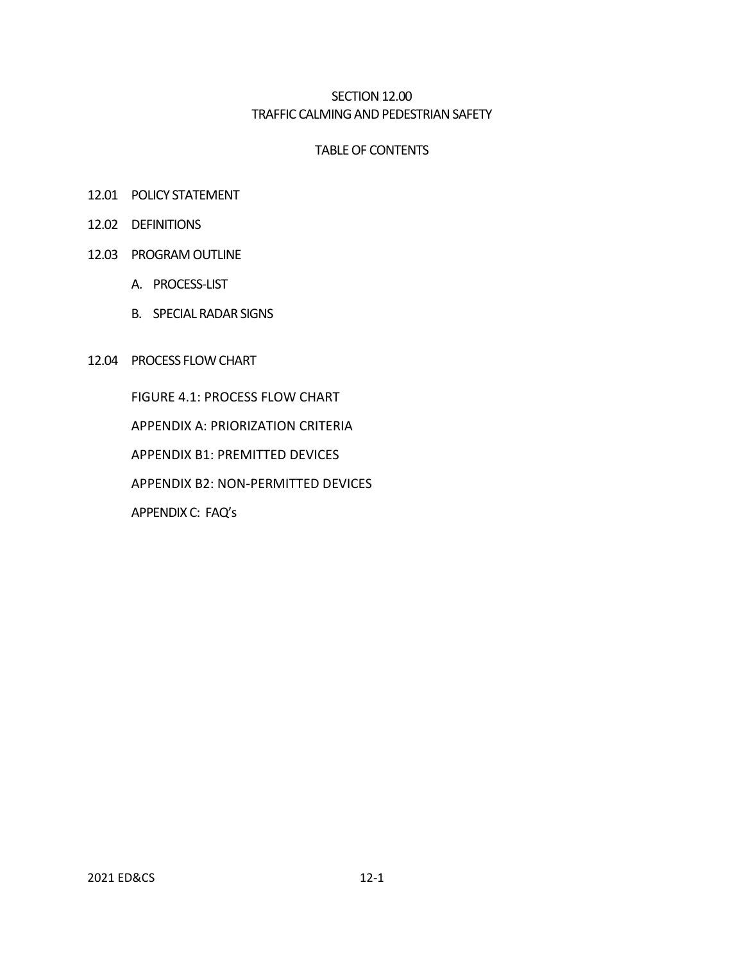### SECTION 12.00 TRAFFIC CALMING AND PEDESTRIAN SAFETY

#### TABLE OF CONTENTS

- 12.01 POLICY STATEMENT
- 12.02 DEFINITIONS
- 12.03 PROGRAM OUTLINE
	- A. PROCESS-LIST
	- B. SPECIAL RADAR SIGNS
- 12.04 PROCESS FLOW CHART

FIGURE 4.1: PROCESS FLOW CHART APPENDIX A: PRIORIZATION CRITERIA APPENDIX B1: PREMITTED DEVICES APPENDIX B2: NON-PERMITTED DEVICES APPENDIX C: FAQ's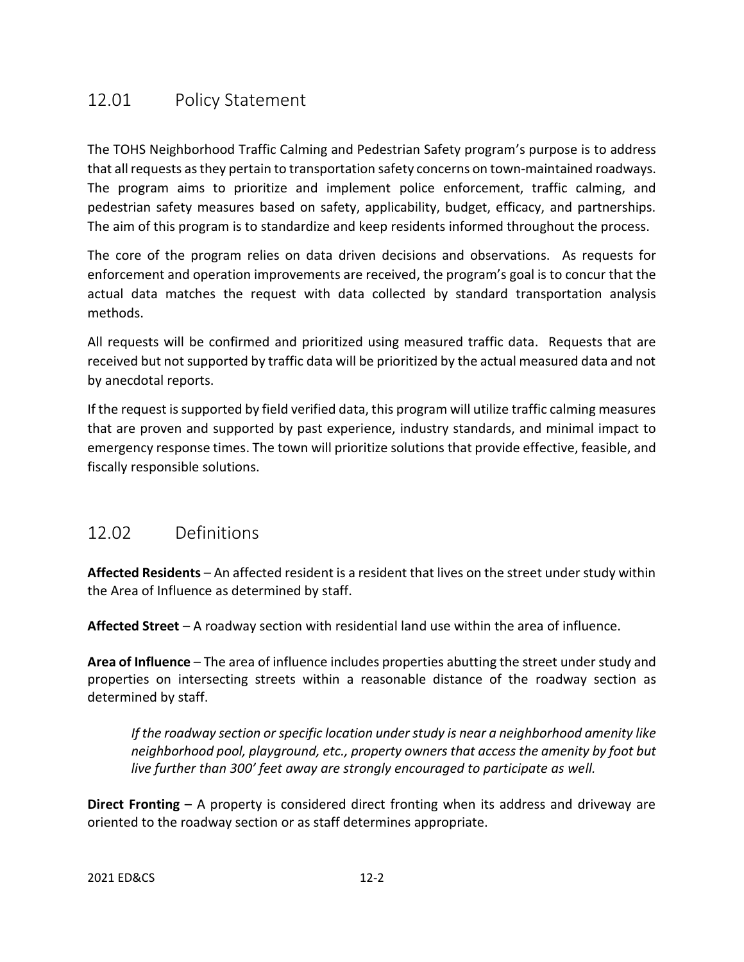# 12.01 Policy Statement

The TOHS Neighborhood Traffic Calming and Pedestrian Safety program's purpose is to address that all requests as they pertain to transportation safety concerns on town-maintained roadways. The program aims to prioritize and implement police enforcement, traffic calming, and pedestrian safety measures based on safety, applicability, budget, efficacy, and partnerships. The aim of this program is to standardize and keep residents informed throughout the process.

The core of the program relies on data driven decisions and observations. As requests for enforcement and operation improvements are received, the program's goal is to concur that the actual data matches the request with data collected by standard transportation analysis methods.

All requests will be confirmed and prioritized using measured traffic data. Requests that are received but not supported by traffic data will be prioritized by the actual measured data and not by anecdotal reports.

If the request is supported by field verified data, this program will utilize traffic calming measures that are proven and supported by past experience, industry standards, and minimal impact to emergency response times. The town will prioritize solutions that provide effective, feasible, and fiscally responsible solutions.

# 12.02 Definitions

**Affected Residents** – An affected resident is a resident that lives on the street under study within the Area of Influence as determined by staff.

**Affected Street** – A roadway section with residential land use within the area of influence.

**Area of Influence** – The area of influence includes properties abutting the street under study and properties on intersecting streets within a reasonable distance of the roadway section as determined by staff.

*If the roadway section or specific location under study is near a neighborhood amenity like neighborhood pool, playground, etc., property owners that access the amenity by foot but live further than 300' feet away are strongly encouraged to participate as well.*

**Direct Fronting** – A property is considered direct fronting when its address and driveway are oriented to the roadway section or as staff determines appropriate.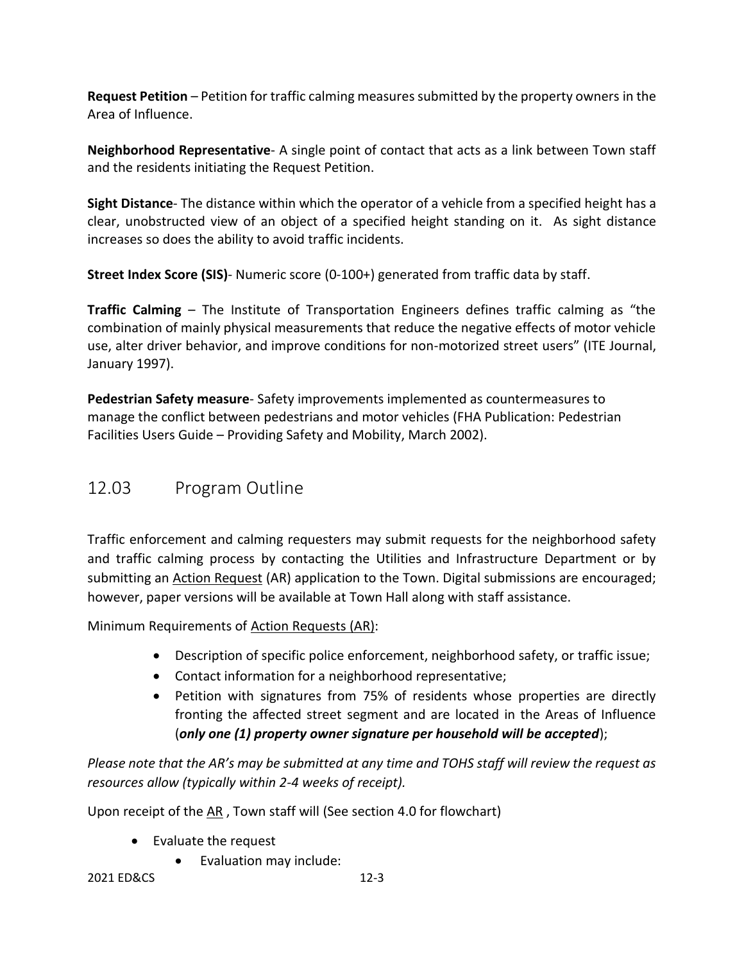**Request Petition** – Petition for traffic calming measures submitted by the property owners in the Area of Influence.

**Neighborhood Representative**- A single point of contact that acts as a link between Town staff and the residents initiating the Request Petition.

**Sight Distance**- The distance within which the operator of a vehicle from a specified height has a clear, unobstructed view of an object of a specified height standing on it. As sight distance increases so does the ability to avoid traffic incidents.

**Street Index Score (SIS)**- Numeric score (0-100+) generated from traffic data by staff.

**Traffic Calming** – The Institute of Transportation Engineers defines traffic calming as "the combination of mainly physical measurements that reduce the negative effects of motor vehicle use, alter driver behavior, and improve conditions for non-motorized street users" (ITE Journal, January 1997).

**Pedestrian Safety measure**- Safety improvements implemented as countermeasures to manage the conflict between pedestrians and motor vehicles (FHA Publication: Pedestrian Facilities Users Guide – Providing Safety and Mobility, March 2002).

# 12.03 Program Outline

Traffic enforcement and calming requesters may submit requests for the neighborhood safety and traffic calming process by contacting the Utilities and Infrastructure Department or by submitting an Action Request (AR) application to the Town. Digital submissions are encouraged; however, paper versions will be available at Town Hall along with staff assistance.

Minimum Requirements of Action Requests (AR):

- Description of specific police enforcement, neighborhood safety, or traffic issue;
- Contact information for a neighborhood representative;
- Petition with signatures from 75% of residents whose properties are directly fronting the affected street segment and are located in the Areas of Influence (*only one (1) property owner signature per household will be accepted*);

*Please note that the AR's may be submitted at any time and TOHS staff will review the request as resources allow (typically within 2-4 weeks of receipt).*

Upon receipt of the AR , Town staff will (See section 4.0 for flowchart)

- Evaluate the request
	- Evaluation may include: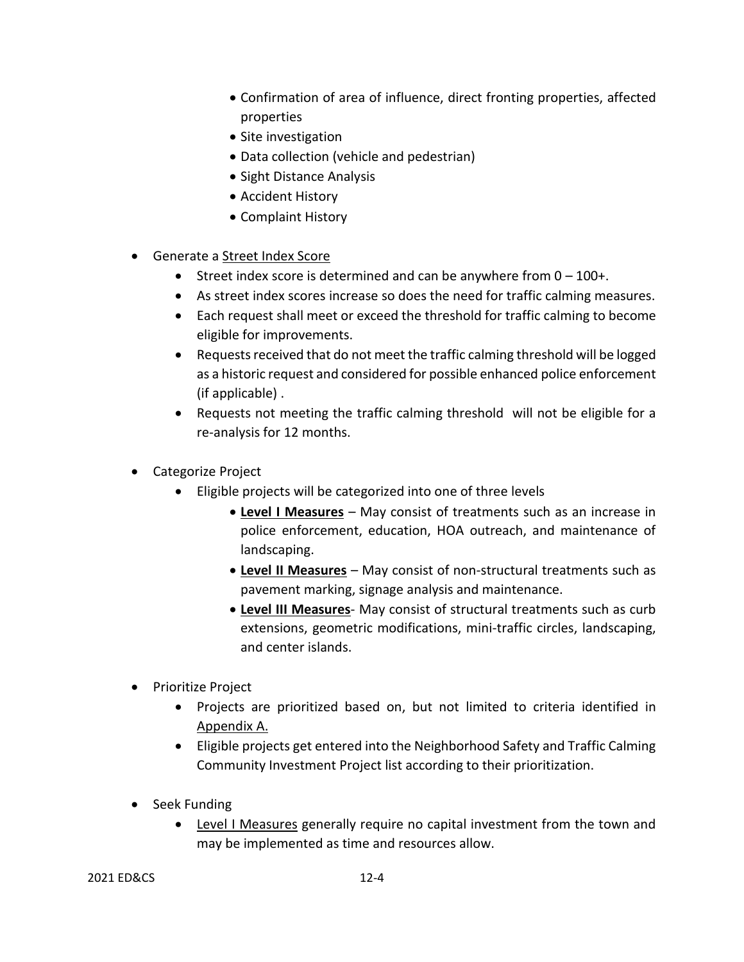- Confirmation of area of influence, direct fronting properties, affected properties
- Site investigation
- Data collection (vehicle and pedestrian)
- Sight Distance Analysis
- Accident History
- Complaint History
- Generate a Street Index Score
	- Street index score is determined and can be anywhere from  $0 100 +$ .
	- As street index scores increase so does the need for traffic calming measures.
	- Each request shall meet or exceed the threshold for traffic calming to become eligible for improvements.
	- Requests received that do not meet the traffic calming threshold will be logged as a historic request and considered for possible enhanced police enforcement (if applicable) .
	- Requests not meeting the traffic calming threshold will not be eligible for a re-analysis for 12 months.
- Categorize Project
	- Eligible projects will be categorized into one of three levels
		- **Level I Measures** May consist of treatments such as an increase in police enforcement, education, HOA outreach, and maintenance of landscaping.
		- **Level II Measures** May consist of non-structural treatments such as pavement marking, signage analysis and maintenance.
		- **Level III Measures** May consist of structural treatments such as curb extensions, geometric modifications, mini-traffic circles, landscaping, and center islands.
- Prioritize Project
	- Projects are prioritized based on, but not limited to criteria identified in Appendix A.
	- Eligible projects get entered into the Neighborhood Safety and Traffic Calming Community Investment Project list according to their prioritization.
- Seek Funding
	- Level I Measures generally require no capital investment from the town and may be implemented as time and resources allow.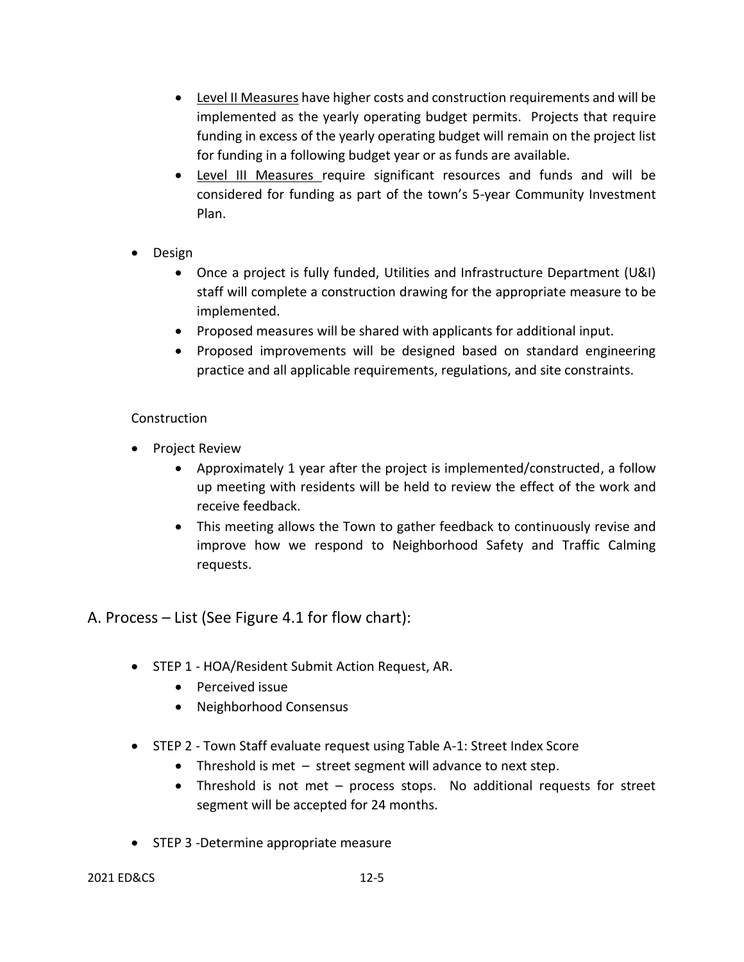- Level II Measures have higher costs and construction requirements and will be implemented as the yearly operating budget permits. Projects that require funding in excess of the yearly operating budget will remain on the project list for funding in a following budget year or as funds are available.
- Level III Measures require significant resources and funds and will be considered for funding as part of the town's 5-year Community Investment Plan.
- Design
	- Once a project is fully funded, Utilities and Infrastructure Department (U&I) staff will complete a construction drawing for the appropriate measure to be implemented.
	- Proposed measures will be shared with applicants for additional input.
	- Proposed improvements will be designed based on standard engineering practice and all applicable requirements, regulations, and site constraints.

### **Construction**

- Project Review
	- Approximately 1 year after the project is implemented/constructed, a follow up meeting with residents will be held to review the effect of the work and receive feedback.
	- This meeting allows the Town to gather feedback to continuously revise and improve how we respond to Neighborhood Safety and Traffic Calming requests.

A. Process – List (See Figure 4.1 for flow chart):

- STEP 1 HOA/Resident Submit Action Request, AR.
	- Perceived issue
	- Neighborhood Consensus
- STEP 2 Town Staff evaluate request using Table A-1: Street Index Score
	- Threshold is met street segment will advance to next step.
	- Threshold is not met process stops. No additional requests for street segment will be accepted for 24 months.
- STEP 3 -Determine appropriate measure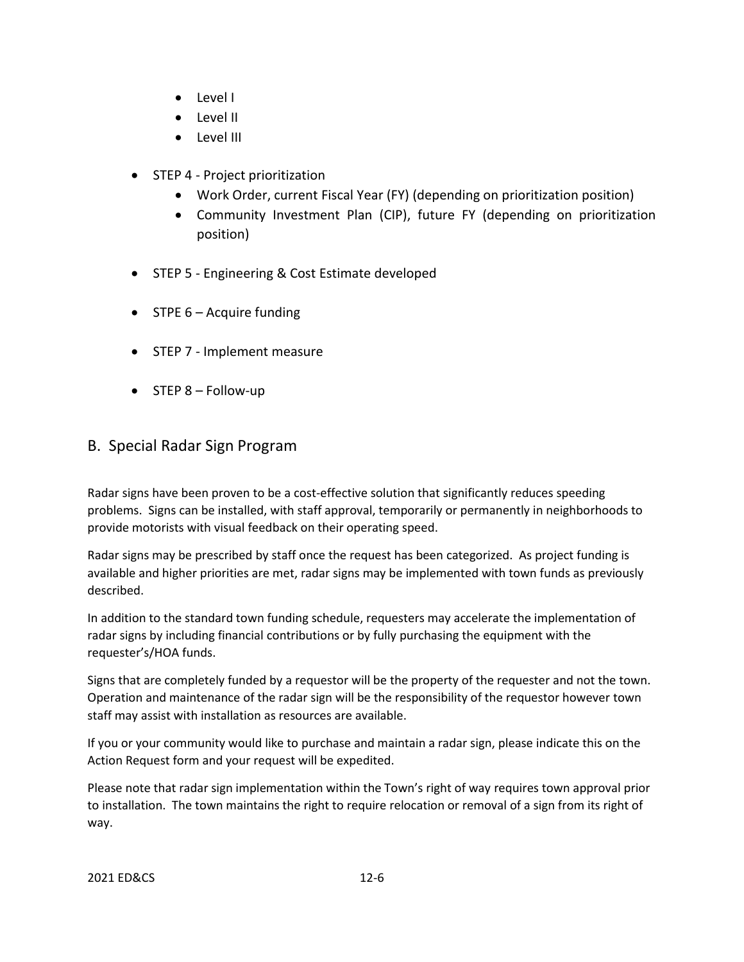- Level I
- Level II
- Level III
- STEP 4 Project prioritization
	- Work Order, current Fiscal Year (FY) (depending on prioritization position)
	- Community Investment Plan (CIP), future FY (depending on prioritization position)
- STEP 5 Engineering & Cost Estimate developed
- STPE 6 Acquire funding
- STEP 7 Implement measure
- STEP 8 Follow-up

# B. Special Radar Sign Program

Radar signs have been proven to be a cost-effective solution that significantly reduces speeding problems. Signs can be installed, with staff approval, temporarily or permanently in neighborhoods to provide motorists with visual feedback on their operating speed.

Radar signs may be prescribed by staff once the request has been categorized. As project funding is available and higher priorities are met, radar signs may be implemented with town funds as previously described.

In addition to the standard town funding schedule, requesters may accelerate the implementation of radar signs by including financial contributions or by fully purchasing the equipment with the requester's/HOA funds.

Signs that are completely funded by a requestor will be the property of the requester and not the town. Operation and maintenance of the radar sign will be the responsibility of the requestor however town staff may assist with installation as resources are available.

If you or your community would like to purchase and maintain a radar sign, please indicate this on the Action Request form and your request will be expedited.

Please note that radar sign implementation within the Town's right of way requires town approval prior to installation. The town maintains the right to require relocation or removal of a sign from its right of way.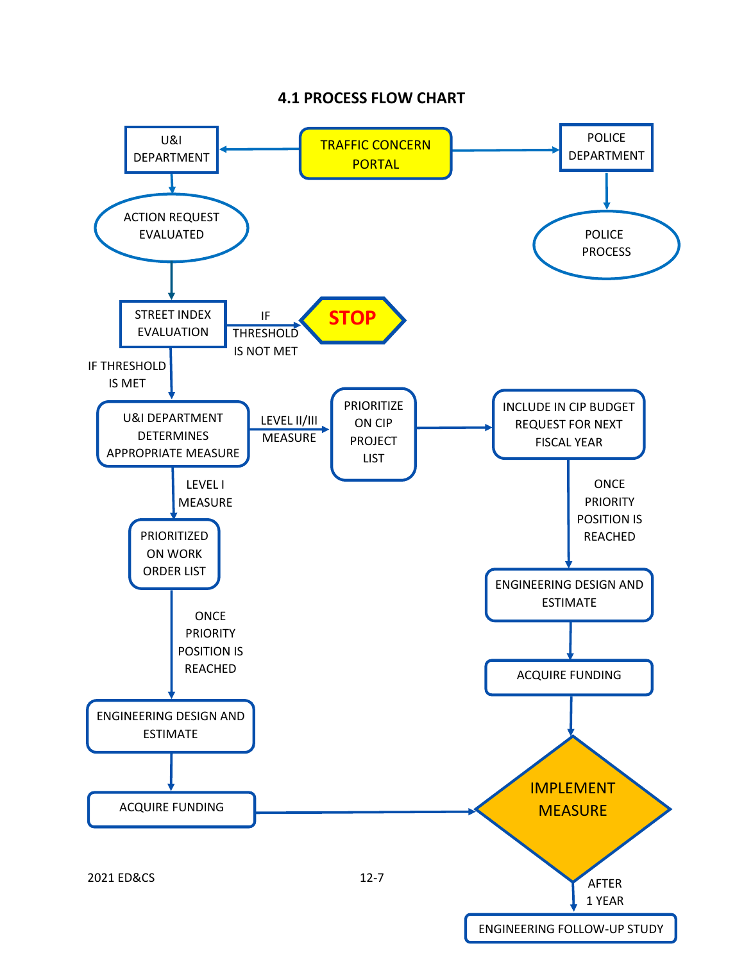## **4.1 PROCESS FLOW CHART**

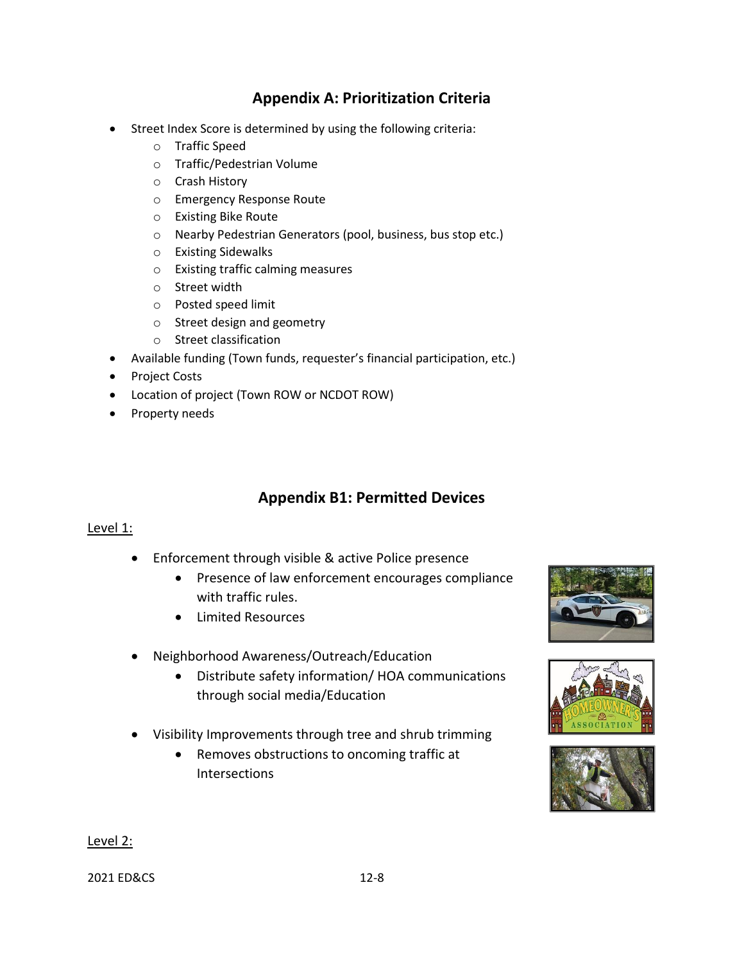# **Appendix A: Prioritization Criteria**

- Street Index Score is determined by using the following criteria:
	- o Traffic Speed
	- o Traffic/Pedestrian Volume
	- o Crash History
	- o Emergency Response Route
	- o Existing Bike Route
	- o Nearby Pedestrian Generators (pool, business, bus stop etc.)
	- o Existing Sidewalks
	- o Existing traffic calming measures
	- o Street width
	- o Posted speed limit
	- o Street design and geometry
	- o Street classification
- Available funding (Town funds, requester's financial participation, etc.)
- Project Costs
- Location of project (Town ROW or NCDOT ROW)
- Property needs

# **Appendix B1: Permitted Devices**

#### Level 1:

- Enforcement through visible & active Police presence
	- Presence of law enforcement encourages compliance with traffic rules.
	- Limited Resources
- Neighborhood Awareness/Outreach/Education
	- Distribute safety information/ HOA communications through social media/Education
- Visibility Improvements through tree and shrub trimming
	- Removes obstructions to oncoming traffic at Intersections







#### Level 2:

2021 ED&CS 12-8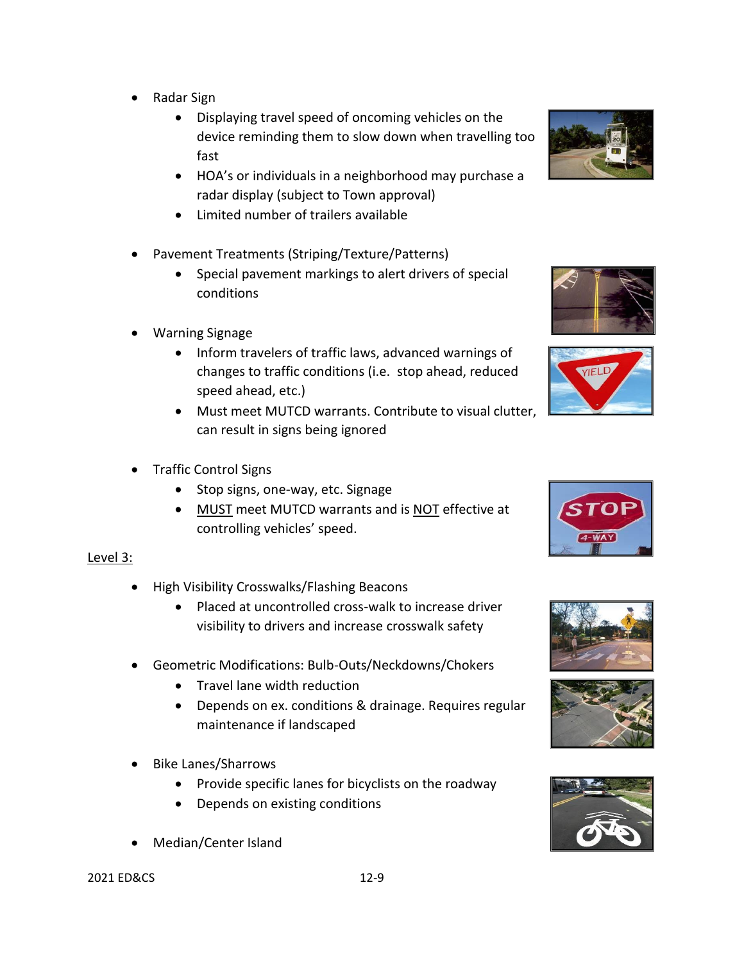- Radar Sign
	- Displaying travel speed of oncoming vehicles on the device reminding them to slow down when travelling too fast
	- HOA's or individuals in a neighborhood may purchase a radar display (subject to Town approval)
	- Limited number of trailers available
- Pavement Treatments (Striping/Texture/Patterns)
	- Special pavement markings to alert drivers of special conditions
- Warning Signage
	- Inform travelers of traffic laws, advanced warnings of changes to traffic conditions (i.e. stop ahead, reduced speed ahead, etc.)
	- Must meet MUTCD warrants. Contribute to visual clutter, can result in signs being ignored
- Traffic Control Signs
	- Stop signs, one-way, etc. Signage
	- MUST meet MUTCD warrants and is NOT effective at controlling vehicles' speed.

### Level 3:

- High Visibility Crosswalks/Flashing Beacons
	- Placed at uncontrolled cross-walk to increase driver visibility to drivers and increase crosswalk safety
- Geometric Modifications: Bulb-Outs/Neckdowns/Chokers
	- Travel lane width reduction
	- Depends on ex. conditions & drainage. Requires regular maintenance if landscaped
- Bike Lanes/Sharrows
	- Provide specific lanes for bicyclists on the roadway
	- Depends on existing conditions
- Median/Center Island















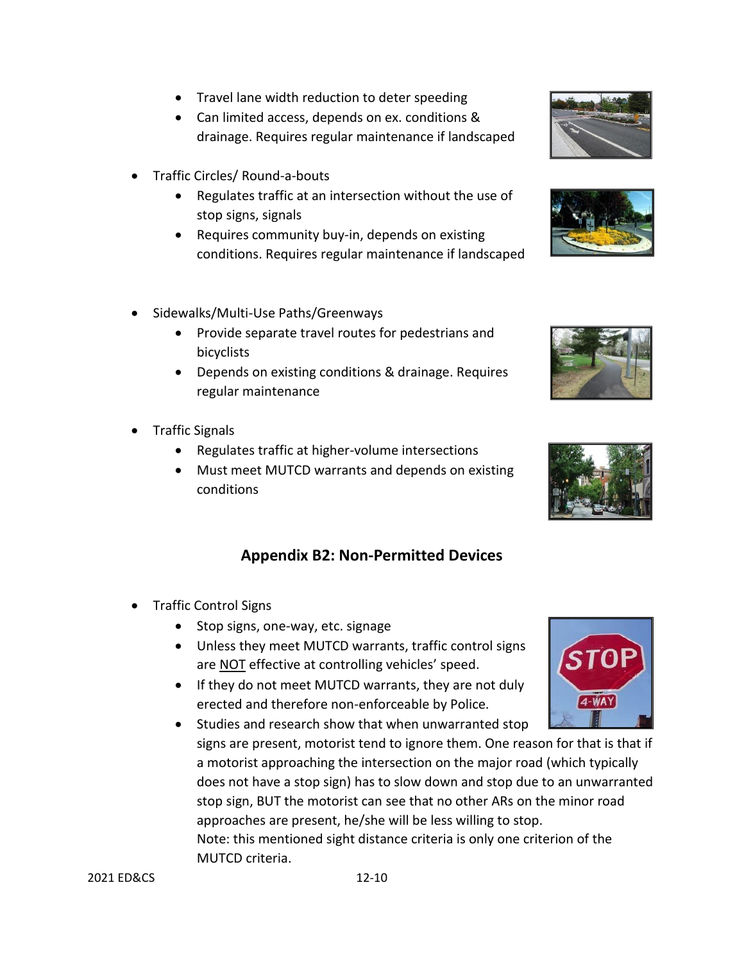- Travel lane width reduction to deter speeding
- Can limited access, depends on ex. conditions & drainage. Requires regular maintenance if landscaped
- Traffic Circles/ Round-a-bouts
	- Regulates traffic at an intersection without the use of stop signs, signals
	- Requires community buy-in, depends on existing conditions. Requires regular maintenance if landscaped
- Sidewalks/Multi-Use Paths/Greenways
	- Provide separate travel routes for pedestrians and bicyclists
	- Depends on existing conditions & drainage. Requires regular maintenance
- Traffic Signals
	- Regulates traffic at higher-volume intersections
	- Must meet MUTCD warrants and depends on existing conditions

# **Appendix B2: Non-Permitted Devices**

- Traffic Control Signs
	- Stop signs, one-way, etc. signage
	- Unless they meet MUTCD warrants, traffic control signs are NOT effective at controlling vehicles' speed.
	- If they do not meet MUTCD warrants, they are not duly erected and therefore non-enforceable by Police.
	- Studies and research show that when unwarranted stop signs are present, motorist tend to ignore them. One reason for that is that if a motorist approaching the intersection on the major road (which typically does not have a stop sign) has to slow down and stop due to an unwarranted stop sign, BUT the motorist can see that no other ARs on the minor road approaches are present, he/she will be less willing to stop. Note: this mentioned sight distance criteria is only one criterion of the MUTCD criteria.







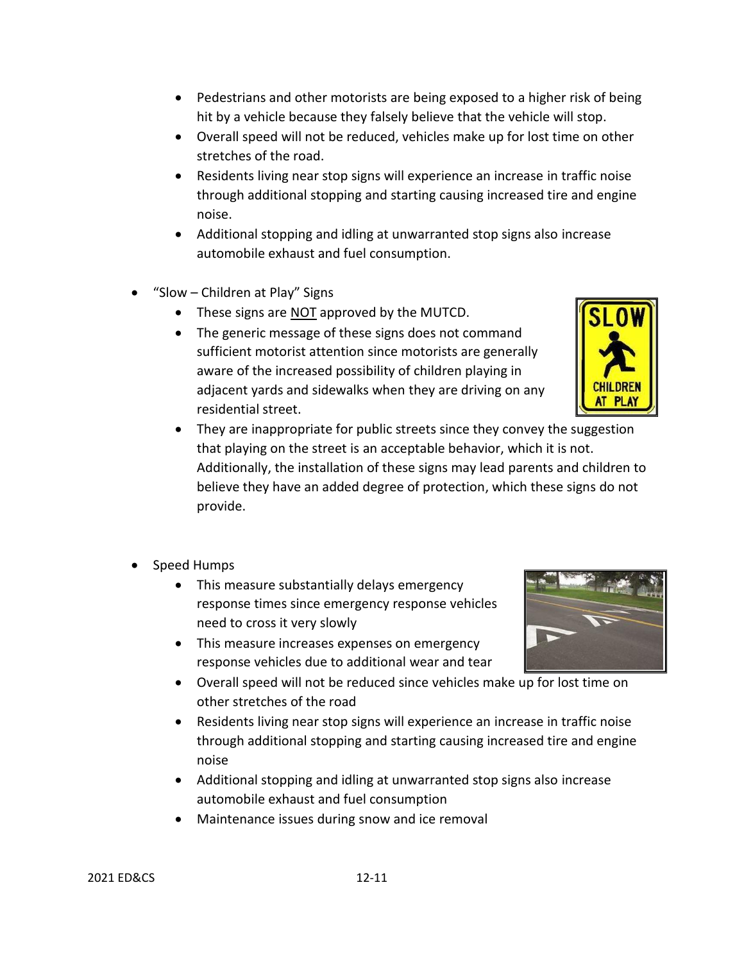- Pedestrians and other motorists are being exposed to a higher risk of being hit by a vehicle because they falsely believe that the vehicle will stop.
- Overall speed will not be reduced, vehicles make up for lost time on other stretches of the road.
- Residents living near stop signs will experience an increase in traffic noise through additional stopping and starting causing increased tire and engine noise.
- Additional stopping and idling at unwarranted stop signs also increase automobile exhaust and fuel consumption.
- "Slow Children at Play" Signs
	- These signs are NOT approved by the MUTCD.
	- The generic message of these signs does not command sufficient motorist attention since motorists are generally aware of the increased possibility of children playing in adjacent yards and sidewalks when they are driving on any residential street.



- They are inappropriate for public streets since they convey the suggestion that playing on the street is an acceptable behavior, which it is not. Additionally, the installation of these signs may lead parents and children to believe they have an added degree of protection, which these signs do not provide.
- Speed Humps
	- This measure substantially delays emergency response times since emergency response vehicles need to cross it very slowly
	- This measure increases expenses on emergency response vehicles due to additional wear and tear
	- Overall speed will not be reduced since vehicles make up for lost time on other stretches of the road
	- Residents living near stop signs will experience an increase in traffic noise through additional stopping and starting causing increased tire and engine noise
	- Additional stopping and idling at unwarranted stop signs also increase automobile exhaust and fuel consumption
	- Maintenance issues during snow and ice removal

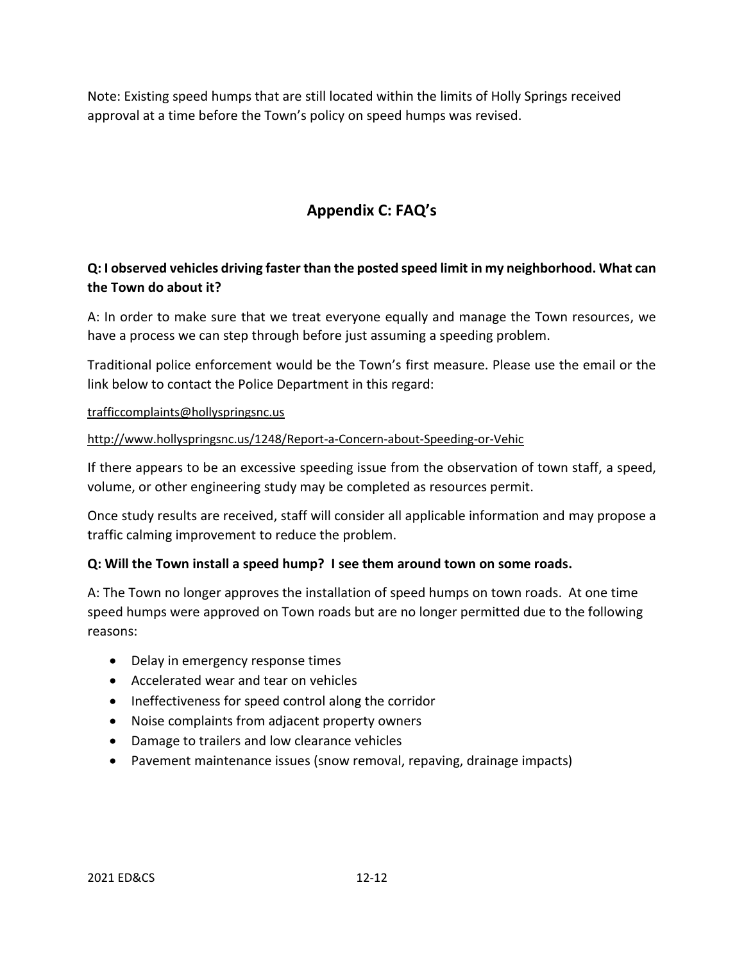Note: Existing speed humps that are still located within the limits of Holly Springs received approval at a time before the Town's policy on speed humps was revised.

# **Appendix C: FAQ's**

# **Q: I observed vehicles driving faster than the posted speed limit in my neighborhood. What can the Town do about it?**

A: In order to make sure that we treat everyone equally and manage the Town resources, we have a process we can step through before just assuming a speeding problem.

Traditional police enforcement would be the Town's first measure. Please use the email or the link below to contact the Police Department in this regard:

#### [trafficcomplaints@hollyspringsnc.us](mailto:trafficcomplaints@hollyspringsnc.us)

### <http://www.hollyspringsnc.us/1248/Report-a-Concern-about-Speeding-or-Vehic>

If there appears to be an excessive speeding issue from the observation of town staff, a speed, volume, or other engineering study may be completed as resources permit.

Once study results are received, staff will consider all applicable information and may propose a traffic calming improvement to reduce the problem.

#### **Q: Will the Town install a speed hump? I see them around town on some roads.**

A: The Town no longer approves the installation of speed humps on town roads. At one time speed humps were approved on Town roads but are no longer permitted due to the following reasons:

- Delay in emergency response times
- Accelerated wear and tear on vehicles
- Ineffectiveness for speed control along the corridor
- Noise complaints from adjacent property owners
- Damage to trailers and low clearance vehicles
- Pavement maintenance issues (snow removal, repaving, drainage impacts)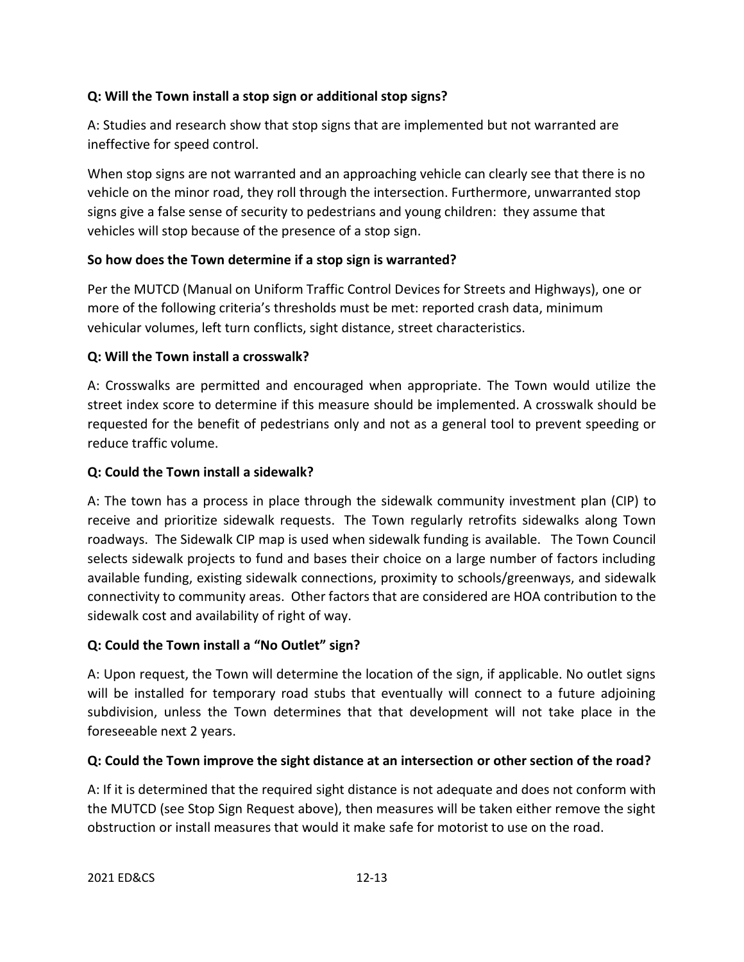### **Q: Will the Town install a stop sign or additional stop signs?**

A: Studies and research show that stop signs that are implemented but not warranted are ineffective for speed control.

When stop signs are not warranted and an approaching vehicle can clearly see that there is no vehicle on the minor road, they roll through the intersection. Furthermore, unwarranted stop signs give a false sense of security to pedestrians and young children: they assume that vehicles will stop because of the presence of a stop sign.

## **So how does the Town determine if a stop sign is warranted?**

Per the MUTCD (Manual on Uniform Traffic Control Devices for Streets and Highways), one or more of the following criteria's thresholds must be met: reported crash data, minimum vehicular volumes, left turn conflicts, sight distance, street characteristics.

## **Q: Will the Town install a crosswalk?**

A: Crosswalks are permitted and encouraged when appropriate. The Town would utilize the street index score to determine if this measure should be implemented. A crosswalk should be requested for the benefit of pedestrians only and not as a general tool to prevent speeding or reduce traffic volume.

### **Q: Could the Town install a sidewalk?**

A: The town has a process in place through the sidewalk community investment plan (CIP) to receive and prioritize sidewalk requests. The Town regularly retrofits sidewalks along Town roadways. The Sidewalk CIP map is used when sidewalk funding is available. The Town Council selects sidewalk projects to fund and bases their choice on a large number of factors including available funding, existing sidewalk connections, proximity to schools/greenways, and sidewalk connectivity to community areas. Other factors that are considered are HOA contribution to the sidewalk cost and availability of right of way.

### **Q: Could the Town install a "No Outlet" sign?**

A: Upon request, the Town will determine the location of the sign, if applicable. No outlet signs will be installed for temporary road stubs that eventually will connect to a future adjoining subdivision, unless the Town determines that that development will not take place in the foreseeable next 2 years.

### **Q: Could the Town improve the sight distance at an intersection or other section of the road?**

A: If it is determined that the required sight distance is not adequate and does not conform with the MUTCD (see Stop Sign Request above), then measures will be taken either remove the sight obstruction or install measures that would it make safe for motorist to use on the road.